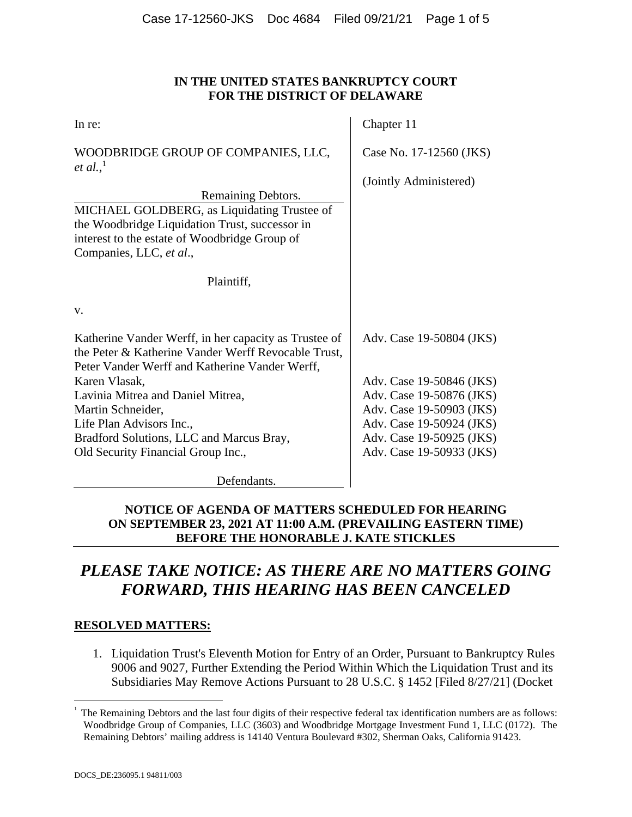### **IN THE UNITED STATES BANKRUPTCY COURT FOR THE DISTRICT OF DELAWARE**

| In re:                                                                                                                                                         | Chapter 11               |
|----------------------------------------------------------------------------------------------------------------------------------------------------------------|--------------------------|
| WOODBRIDGE GROUP OF COMPANIES, LLC,<br><i>et al.</i> , <sup>1</sup>                                                                                            | Case No. 17-12560 (JKS)  |
|                                                                                                                                                                | (Jointly Administered)   |
| Remaining Debtors.                                                                                                                                             |                          |
| MICHAEL GOLDBERG, as Liquidating Trustee of                                                                                                                    |                          |
| the Woodbridge Liquidation Trust, successor in                                                                                                                 |                          |
| interest to the estate of Woodbridge Group of<br>Companies, LLC, et al.,                                                                                       |                          |
| Plaintiff,                                                                                                                                                     |                          |
|                                                                                                                                                                |                          |
| V.                                                                                                                                                             |                          |
| Katherine Vander Werff, in her capacity as Trustee of<br>the Peter & Katherine Vander Werff Revocable Trust,<br>Peter Vander Werff and Katherine Vander Werff, | Adv. Case 19-50804 (JKS) |
| Karen Vlasak,                                                                                                                                                  | Adv. Case 19-50846 (JKS) |
| Lavinia Mitrea and Daniel Mitrea,                                                                                                                              | Adv. Case 19-50876 (JKS) |
| Martin Schneider,                                                                                                                                              | Adv. Case 19-50903 (JKS) |
| Life Plan Advisors Inc.,                                                                                                                                       | Adv. Case 19-50924 (JKS) |
| Bradford Solutions, LLC and Marcus Bray,                                                                                                                       | Adv. Case 19-50925 (JKS) |
| Old Security Financial Group Inc.,                                                                                                                             | Adv. Case 19-50933 (JKS) |
|                                                                                                                                                                |                          |

Defendants.

## **NOTICE OF AGENDA OF MATTERS SCHEDULED FOR HEARING ON SEPTEMBER 23, 2021 AT 11:00 A.M. (PREVAILING EASTERN TIME) BEFORE THE HONORABLE J. KATE STICKLES**

# *PLEASE TAKE NOTICE: AS THERE ARE NO MATTERS GOING FORWARD, THIS HEARING HAS BEEN CANCELED*

### **RESOLVED MATTERS:**

1. Liquidation Trust's Eleventh Motion for Entry of an Order, Pursuant to Bankruptcy Rules 9006 and 9027, Further Extending the Period Within Which the Liquidation Trust and its Subsidiaries May Remove Actions Pursuant to 28 U.S.C. § 1452 [Filed 8/27/21] (Docket

 $\overline{a}$ 1

The Remaining Debtors and the last four digits of their respective federal tax identification numbers are as follows: Woodbridge Group of Companies, LLC (3603) and Woodbridge Mortgage Investment Fund 1, LLC (0172). The Remaining Debtors' mailing address is 14140 Ventura Boulevard #302, Sherman Oaks, California 91423.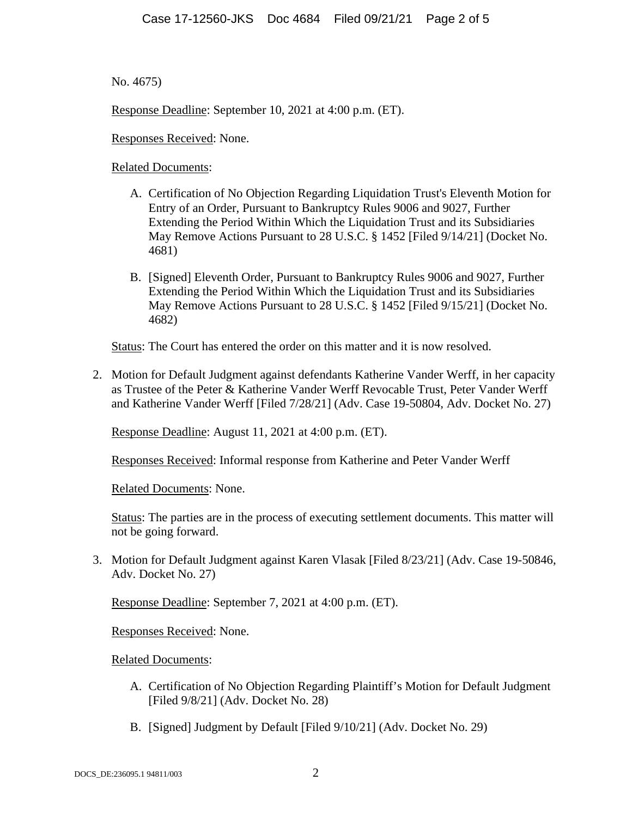No. 4675)

Response Deadline: September 10, 2021 at 4:00 p.m. (ET).

Responses Received: None.

Related Documents:

- A. Certification of No Objection Regarding Liquidation Trust's Eleventh Motion for Entry of an Order, Pursuant to Bankruptcy Rules 9006 and 9027, Further Extending the Period Within Which the Liquidation Trust and its Subsidiaries May Remove Actions Pursuant to 28 U.S.C. § 1452 [Filed 9/14/21] (Docket No. 4681)
- B. [Signed] Eleventh Order, Pursuant to Bankruptcy Rules 9006 and 9027, Further Extending the Period Within Which the Liquidation Trust and its Subsidiaries May Remove Actions Pursuant to 28 U.S.C. § 1452 [Filed 9/15/21] (Docket No. 4682)

Status: The Court has entered the order on this matter and it is now resolved.

2. Motion for Default Judgment against defendants Katherine Vander Werff, in her capacity as Trustee of the Peter & Katherine Vander Werff Revocable Trust, Peter Vander Werff and Katherine Vander Werff [Filed 7/28/21] (Adv. Case 19-50804, Adv. Docket No. 27)

Response Deadline: August 11, 2021 at 4:00 p.m. (ET).

Responses Received: Informal response from Katherine and Peter Vander Werff

Related Documents: None.

Status: The parties are in the process of executing settlement documents. This matter will not be going forward.

3. Motion for Default Judgment against Karen Vlasak [Filed 8/23/21] (Adv. Case 19-50846, Adv. Docket No. 27)

Response Deadline: September 7, 2021 at 4:00 p.m. (ET).

Responses Received: None.

Related Documents:

- A. Certification of No Objection Regarding Plaintiff's Motion for Default Judgment [Filed 9/8/21] (Adv. Docket No. 28)
- B. [Signed] Judgment by Default [Filed 9/10/21] (Adv. Docket No. 29)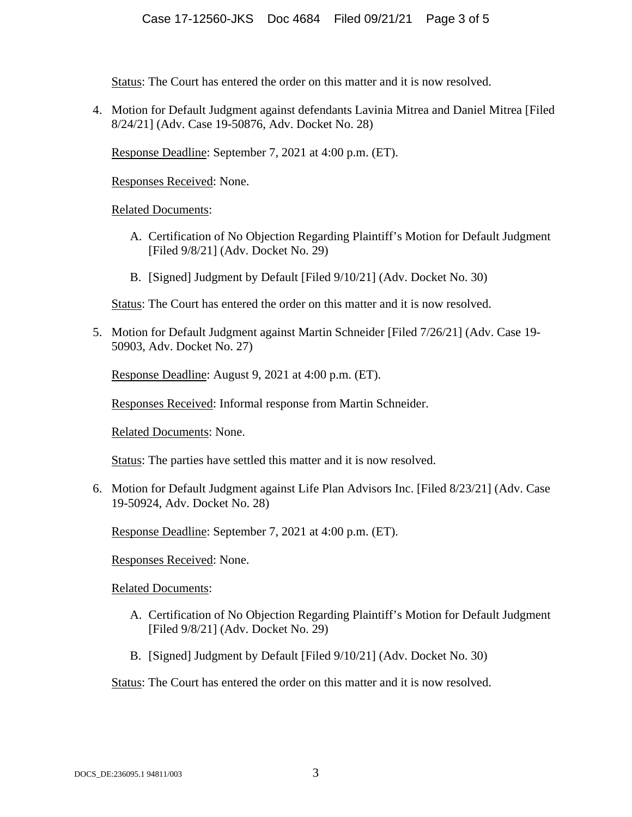Status: The Court has entered the order on this matter and it is now resolved.

4. Motion for Default Judgment against defendants Lavinia Mitrea and Daniel Mitrea [Filed 8/24/21] (Adv. Case 19-50876, Adv. Docket No. 28)

Response Deadline: September 7, 2021 at 4:00 p.m. (ET).

Responses Received: None.

Related Documents:

- A. Certification of No Objection Regarding Plaintiff's Motion for Default Judgment [Filed 9/8/21] (Adv. Docket No. 29)
- B. [Signed] Judgment by Default [Filed 9/10/21] (Adv. Docket No. 30)

Status: The Court has entered the order on this matter and it is now resolved.

5. Motion for Default Judgment against Martin Schneider [Filed 7/26/21] (Adv. Case 19- 50903, Adv. Docket No. 27)

Response Deadline: August 9, 2021 at 4:00 p.m. (ET).

Responses Received: Informal response from Martin Schneider.

Related Documents: None.

Status: The parties have settled this matter and it is now resolved.

6. Motion for Default Judgment against Life Plan Advisors Inc. [Filed 8/23/21] (Adv. Case 19-50924, Adv. Docket No. 28)

Response Deadline: September 7, 2021 at 4:00 p.m. (ET).

Responses Received: None.

Related Documents:

- A. Certification of No Objection Regarding Plaintiff's Motion for Default Judgment [Filed 9/8/21] (Adv. Docket No. 29)
- B. [Signed] Judgment by Default [Filed 9/10/21] (Adv. Docket No. 30)

Status: The Court has entered the order on this matter and it is now resolved.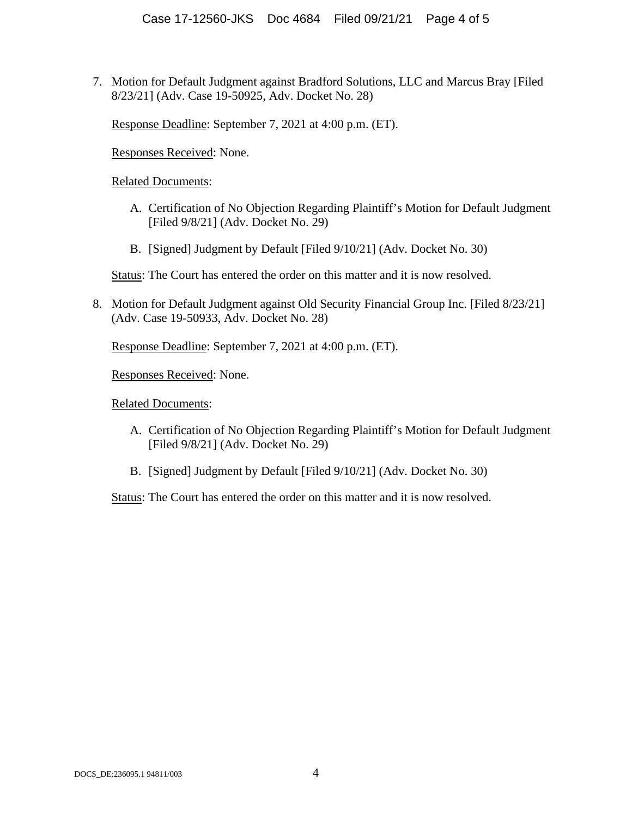7. Motion for Default Judgment against Bradford Solutions, LLC and Marcus Bray [Filed 8/23/21] (Adv. Case 19-50925, Adv. Docket No. 28)

Response Deadline: September 7, 2021 at 4:00 p.m. (ET).

Responses Received: None.

Related Documents:

- A. Certification of No Objection Regarding Plaintiff's Motion for Default Judgment [Filed 9/8/21] (Adv. Docket No. 29)
- B. [Signed] Judgment by Default [Filed 9/10/21] (Adv. Docket No. 30)

Status: The Court has entered the order on this matter and it is now resolved.

8. Motion for Default Judgment against Old Security Financial Group Inc. [Filed 8/23/21] (Adv. Case 19-50933, Adv. Docket No. 28)

Response Deadline: September 7, 2021 at 4:00 p.m. (ET).

Responses Received: None.

Related Documents:

- A. Certification of No Objection Regarding Plaintiff's Motion for Default Judgment [Filed  $9/8/21$ ] (Adv. Docket No. 29)
- B. [Signed] Judgment by Default [Filed 9/10/21] (Adv. Docket No. 30)

Status: The Court has entered the order on this matter and it is now resolved.